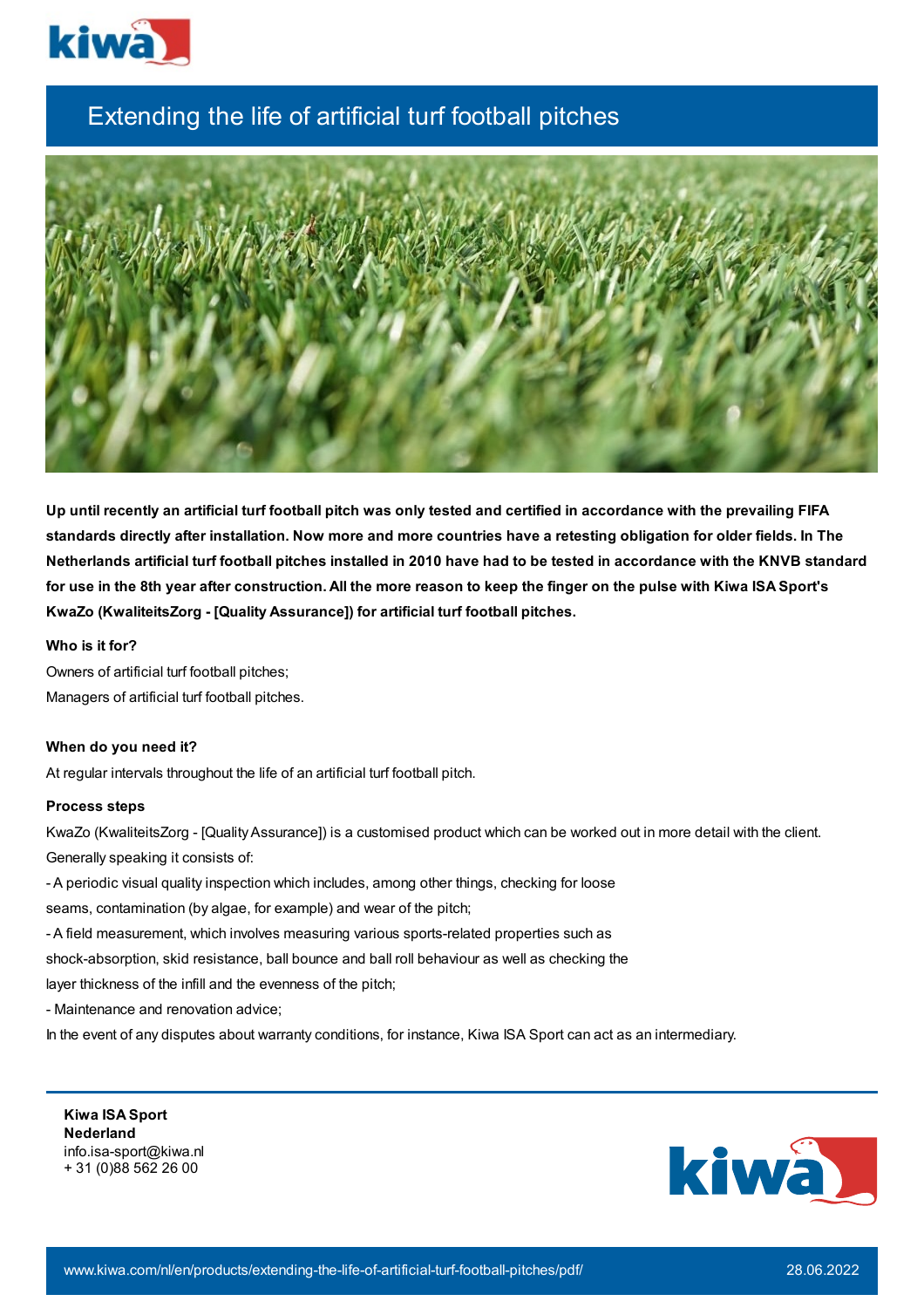

## Extending the life of artificial turf football pitches



Up until recently an artificial turf football pitch was only tested and certified in accordance with the prevailing FIFA standards directly after installation. Now more and more countries have a retesting obligation for older fields. In The Netherlands artificial turf football pitches installed in 2010 have had to be tested in accordance with the KNVB standard for use in the 8th year after construction. All the more reason to keep the finger on the pulse with Kiwa ISA Sport's **KwaZo (KwaliteitsZorg - [Quality Assurance]) for artificial turf football pitches.**

**Who is it for?**

Owners of artificial turf football pitches; Managers of artificial turf football pitches.

## **When do you need it?**

At regular intervals throughout the life of an artificial turf football pitch.

## **Process steps**

KwaZo (KwaliteitsZorg - [QualityAssurance]) is a customised product which can be worked out in more detail with the client. Generally speaking it consists of:

- A periodic visual quality inspection which includes, among other things, checking for loose
- seams, contamination (by algae, for example) and wear of the pitch;
- A field measurement, which involves measuring various sports-related properties such as
- shock-absorption, skid resistance, ball bounce and ball roll behaviour as well as checking the

layer thickness of the infill and the evenness of the pitch;

- Maintenance and renovation advice;

In the event of any disputes about warranty conditions, for instance, Kiwa ISA Sport can act as an intermediary.

**Kiwa ISA Sport Nederland** info.isa-sport@kiwa.nl + 31 (0)88 562 26 00